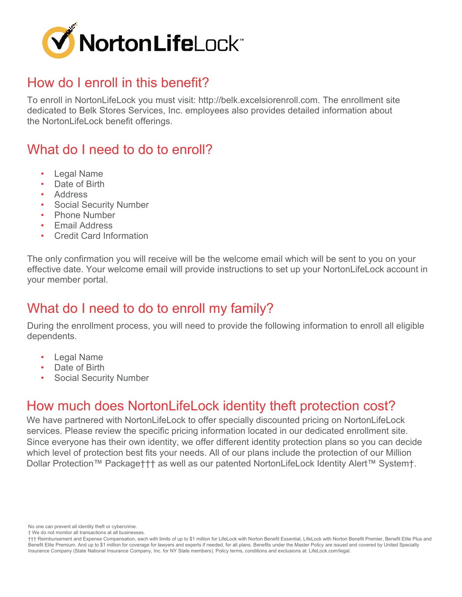

## How do I enroll in this benefit?

To enroll in NortonLifeLock you must visit: http://belk.excelsiorenroll.com. The enrollment site dedicated to Belk Stores Services, Inc. employees also provides detailed information about the NortonLifeLock benefit offerings.

# What do I need to do to enroll?

- Legal Name
- Date of Birth
- Address
- Social Security Number
- Phone Number
- Email Address
- Credit Card Information

The only confirmation you will receive will be the welcome email which will be sent to you on your effective date. Your welcome email will provide instructions to set up your NortonLifeLock account in your member portal.

## What do I need to do to enroll my family?

During the enrollment process, you will need to provide the following information to enroll all eligible dependents.

- **Legal Name**
- Date of Birth
- Social Security Number

## How much does NortonLifeLock identity theft protection cost?

We have partnered with NortonLifeLock to offer specially discounted pricing on NortonLifeLock services. Please review the specific pricing information located in our dedicated enrollment site. Since everyone has their own identity, we offer different identity protection plans so you can decide which level of protection best fits your needs. All of our plans include the protection of our Million Dollar Protection™ Package††† as well as our patented NortonLifeLock Identity Alert™ System†.

No one can prevent all identity theft or cybercrime.

† We do not monitor all transactions at all businesses.

<sup>†††</sup> Reimbursement and Expense Compensation, each with limits of up to \$1 million for LifeLock with Norton Benefit Essential, LifeLock with Norton Benefit Premier, Benefit Elite Plus and Benefit Elite Premium. And up to \$1 million for coverage for lawyers and experts if needed, for all plans. Benefits under the Master Policy are issued and covered by United Specialty Insurance Company (State National Insurance Company, Inc. for NY State members). Policy terms, conditions and exclusions at: LifeLock.com/legal.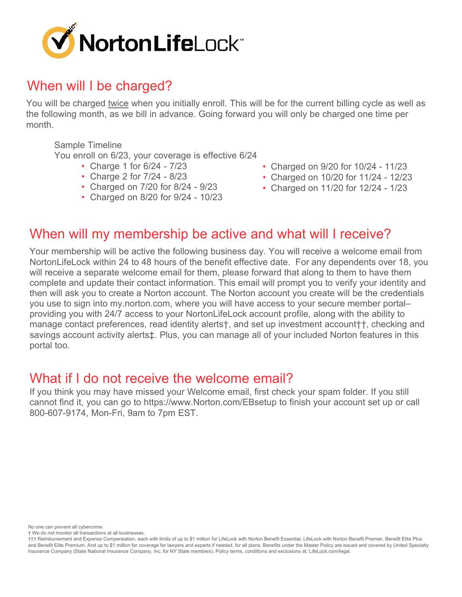

## When will I be charged?

You will be charged twice when you initially enroll. This will be for the current billing cycle as well as the following month, as we bill in advance. Going forward you will only be charged one time per month.

Sample Timeline

You enroll on 6/23, your coverage is effective 6/24

- Charge 1 for 6/24 7/23
- Charge 2 for 7/24 8/23
- Charged on 7/20 for 8/24 9/23
- Charged on 8/20 for 9/24 10/23
- Charged on 9/20 for 10/24 11/23
- Charged on 10/20 for 11/24 12/23
- Charged on 11/20 for 12/24 1/23

#### When will my membership be active and what will I receive?

Your membership will be active the following business day. You will receive a welcome email from NortonLifeLock within 24 to 48 hours of the benefit effective date. For any dependents over 18, you will receive a separate welcome email for them, please forward that along to them to have them complete and update their contact information. This email will prompt you to verify your identity and then will ask you to create a Norton account. The Norton account you create will be the credentials you use to sign into my.norton.com, where you will have access to your secure member portal– providing you with 24/7 access to your NortonLifeLock account profile, along with the ability to manage contact preferences, read identity alerts†, and set up investment account††, checking and savings account activity alerts‡. Plus, you can manage all of your included Norton features in this portal too.

#### What if I do not receive the welcome email?

If you think you may have missed your Welcome email, first check your spam folder. If you still cannot find it, you can go to https://www.Norton.com/EBsetup to finish your account set up or call 800-607-9174, Mon-Fri, 9am to 7pm EST.

No one can prevent all cybercrime.

† We do not monitor all transactions at all businesses.

<sup>†††</sup> Reimbursement and Expense Compensation, each with limits of up to \$1 million for LifeLock with Norton Benefit Essential, LifeLock with Norton Benefit Premier, Benefit Elite Plus and Benefit Elite Premium. And up to \$1 million for coverage for lawyers and experts if needed, for all plans. Benefits under the Master Policy are issued and covered by United Specialty Insurance Company (State National Insurance Company, Inc. for NY State members). Policy terms, conditions and exclusions at: LifeLock.com/legal.